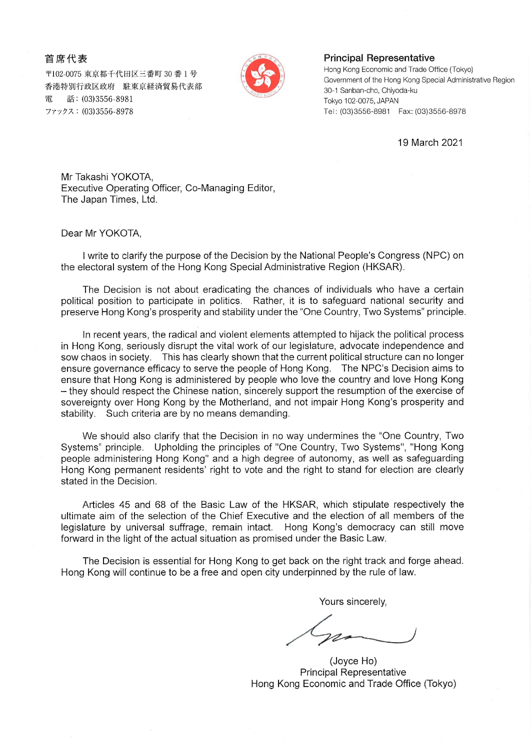## 首席代表

〒102-0075 東京都千代田区三番町 30 番1号 香港特別行政区政府 駐東京経済貿易代表部 話: (03)3556-8981 電 ファックス: (03)3556-8978



## **Principal Representative**

Hong Kong Economic and Trade Office (Tokyo) Government of the Hong Kong Special Administrative Region 30-1 Sanban-cho, Chiyoda-ku Tokyo 102-0075, JAPAN Tel: (03)3556-8981 Fax: (03)3556-8978

19 March 2021

Mr Takashi YOKOTA, Executive Operating Officer, Co-Managing Editor, The Japan Times, Ltd.

Dear Mr YOKOTA,

I write to clarify the purpose of the Decision by the National People's Congress (NPC) on the electoral system of the Hong Kong Special Administrative Region (HKSAR).

The Decision is not about eradicating the chances of individuals who have a certain political position to participate in politics. Rather, it is to safeguard national security and preserve Hong Kong's prosperity and stability under the "One Country, Two Systems" principle.

In recent vears, the radical and violent elements attempted to hijack the political process in Hong Kong, seriously disrupt the vital work of our legislature, advocate independence and sow chaos in society. This has clearly shown that the current political structure can no longer ensure governance efficacy to serve the people of Hong Kong. The NPC's Decision aims to ensure that Hong Kong is administered by people who love the country and love Hong Kong - they should respect the Chinese nation, sincerely support the resumption of the exercise of sovereignty over Hong Kong by the Motherland, and not impair Hong Kong's prosperity and stability. Such criteria are by no means demanding.

We should also clarify that the Decision in no way undermines the "One Country, Two Systems" principle. Upholding the principles of "One Country, Two Systems", "Hong Kong people administering Hong Kong" and a high degree of autonomy, as well as safeguarding Hong Kong permanent residents' right to vote and the right to stand for election are clearly stated in the Decision.

Articles 45 and 68 of the Basic Law of the HKSAR, which stipulate respectively the ultimate aim of the selection of the Chief Executive and the election of all members of the legislature by universal suffrage, remain intact. Hong Kong's democracy can still move forward in the light of the actual situation as promised under the Basic Law.

The Decision is essential for Hong Kong to get back on the right track and forge ahead. Hong Kong will continue to be a free and open city underpinned by the rule of law.

Yours sincerely.

(Joyce Ho) **Principal Representative** Hong Kong Economic and Trade Office (Tokyo)